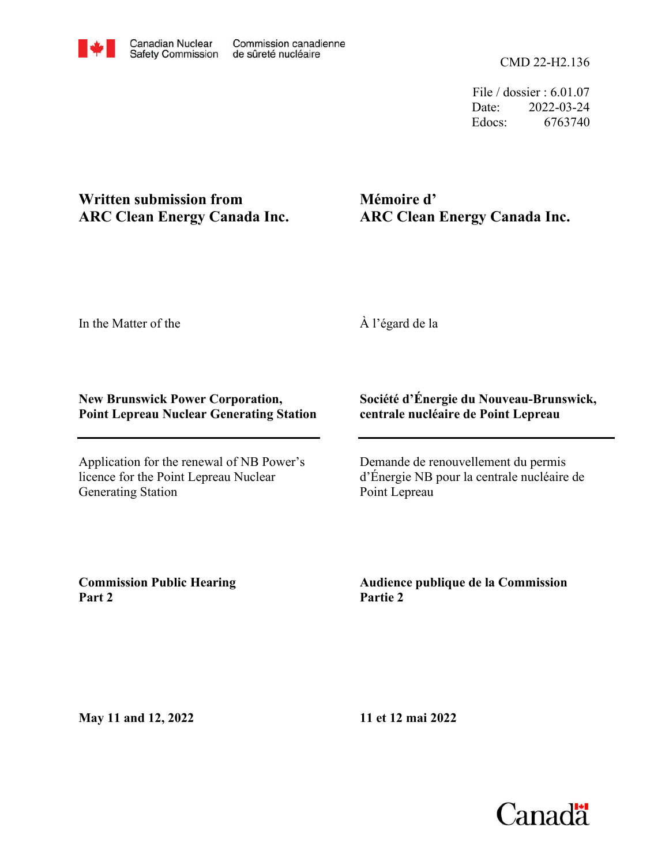

File / dossier : 6.01.07 Date: 2022-03-24 Edocs: 6763740

## **Written submission from ARC Clean Energy Canada Inc.**

# **Mémoire d' ARC Clean Energy Canada Inc.**

In the Matter of the

À l'égard de la

### **New Brunswick Power Corporation, Point Lepreau Nuclear Generating Station**

Application for the renewal of NB Power's licence for the Point Lepreau Nuclear Generating Station

### **Société d'Énergie du Nouveau-Brunswick, centrale nucléaire de Point Lepreau**

Demande de renouvellement du permis d'Énergie NB pour la centrale nucléaire de Point Lepreau

**Commission Public Hearing Part 2**

**Audience publique de la Commission Partie 2**

**May 11 and 12, 2022**

**11 et 12 mai 2022**

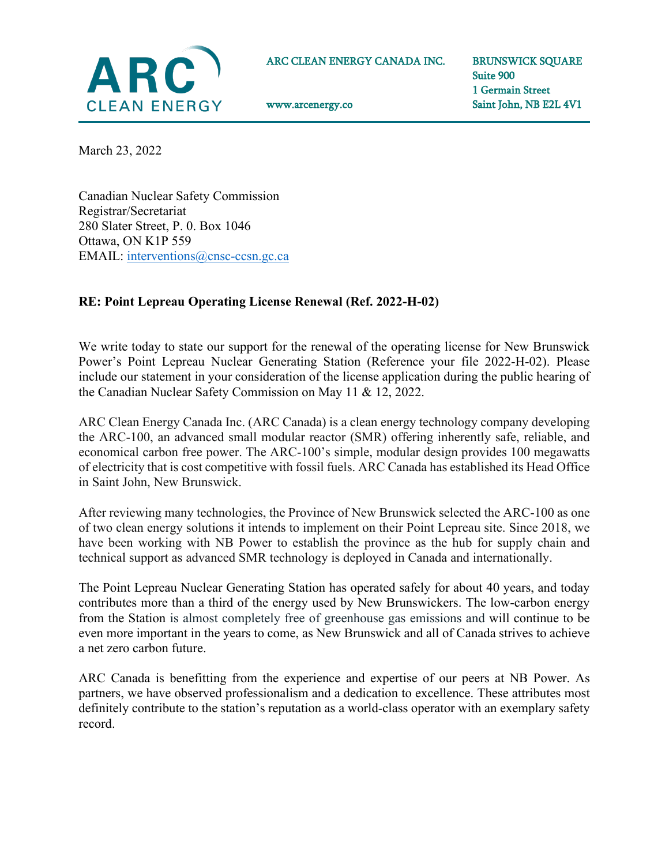

ARC CLEAN ENERGY CANADA INC.

www.arcenergy.co

BRUNSWICK SQUARE Suite 900 1 Germain Street Saint John, NB E2L 4V1

March 23, 2022

Canadian Nuclear Safety Commission Registrar/Secretariat 280 Slater Street, P. 0. Box 1046 Ottawa, ON K1P 559 EMAIL: [interventions@cnsc-ccsn.gc.ca](mailto:interventions@cnsc-ccsn.gc.ca)

#### **RE: Point Lepreau Operating License Renewal (Ref. 2022-H-02)**

We write today to state our support for the renewal of the operating license for New Brunswick Power's Point Lepreau Nuclear Generating Station (Reference your file 2022-H-02). Please include our statement in your consideration of the license application during the public hearing of the Canadian Nuclear Safety Commission on May 11 & 12, 2022.

ARC Clean Energy Canada Inc. (ARC Canada) is a clean energy technology company developing the ARC-100, an advanced small modular reactor (SMR) offering inherently safe, reliable, and economical carbon free power. The ARC-100's simple, modular design provides 100 megawatts of electricity that is cost competitive with fossil fuels. ARC Canada has established its Head Office in Saint John, New Brunswick.

After reviewing many technologies, the Province of New Brunswick selected the ARC-100 as one of two clean energy solutions it intends to implement on their Point Lepreau site. Since 2018, we have been working with NB Power to establish the province as the hub for supply chain and technical support as advanced SMR technology is deployed in Canada and internationally.

The Point Lepreau Nuclear Generating Station has operated safely for about 40 years, and today contributes more than a third of the energy used by New Brunswickers. The low-carbon energy from the Station is almost completely free of greenhouse gas emissions and will continue to be even more important in the years to come, as New Brunswick and all of Canada strives to achieve a net zero carbon future.

ARC Canada is benefitting from the experience and expertise of our peers at NB Power. As partners, we have observed professionalism and a dedication to excellence. These attributes most definitely contribute to the station's reputation as a world-class operator with an exemplary safety record.